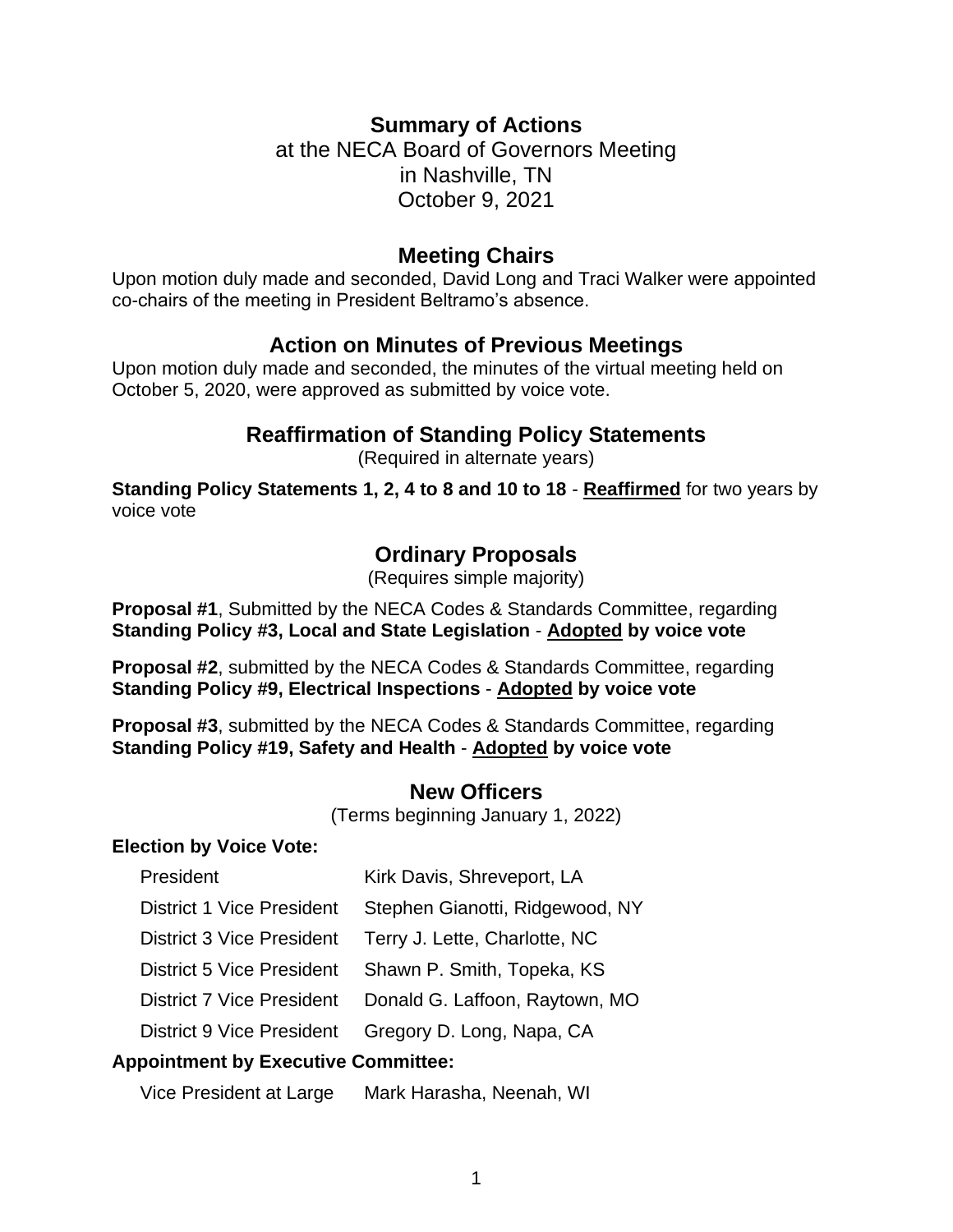#### **Summary of Actions**

at the NECA Board of Governors Meeting in Nashville, TN October 9, 2021

#### **Meeting Chairs**

Upon motion duly made and seconded, David Long and Traci Walker were appointed co-chairs of the meeting in President Beltramo's absence.

#### **Action on Minutes of Previous Meetings**

Upon motion duly made and seconded, the minutes of the virtual meeting held on October 5, 2020, were approved as submitted by voice vote.

## **Reaffirmation of Standing Policy Statements**

(Required in alternate years)

**Standing Policy Statements 1, 2, 4 to 8 and 10 to 18** - **Reaffirmed** for two years by voice vote

## **Ordinary Proposals**

(Requires simple majority)

**Proposal #1**, Submitted by the NECA Codes & Standards Committee, regarding **Standing Policy #3, Local and State Legislation** - **Adopted by voice vote**

**Proposal #2**, submitted by the NECA Codes & Standards Committee, regarding **Standing Policy #9, Electrical Inspections** - **Adopted by voice vote**

**Proposal #3**, submitted by the NECA Codes & Standards Committee, regarding **Standing Policy #19, Safety and Health** - **Adopted by voice vote**

#### **New Officers**

(Terms beginning January 1, 2022)

#### **Election by Voice Vote:**

| President                                  | Kirk Davis, Shreveport, LA      |
|--------------------------------------------|---------------------------------|
| <b>District 1 Vice President</b>           | Stephen Gianotti, Ridgewood, NY |
| <b>District 3 Vice President</b>           | Terry J. Lette, Charlotte, NC   |
| District 5 Vice President                  | Shawn P. Smith, Topeka, KS      |
| <b>District 7 Vice President</b>           | Donald G. Laffoon, Raytown, MO  |
| District 9 Vice President                  | Gregory D. Long, Napa, CA       |
| <b>Appointment by Executive Committee:</b> |                                 |

Vice President at Large Mark Harasha, Neenah, WI